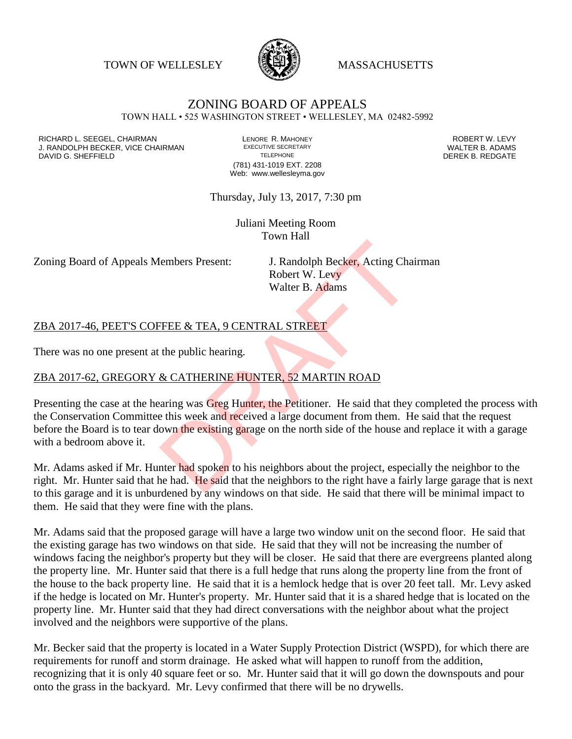TOWN OF WELLESLEY **WASSACHUSETTS** 



# ZONING BOARD OF APPEALS

TOWN HALL • 525 WASHINGTON STREET • WELLESLEY, MA 02482-5992

RICHARD L. SEEGEL, CHAIRMAN LENORE R. MAHONEY ROBERT W. LEVY J. RANDOLPH BECKER, VICE CHAIRMAN EXECUTIVE SECRETARY THE SANDOLPH BECKER, VICE CHAIRMAN EXECUTIVE SECRETARY TRANING SHEFFIFI D DAVID G. SHEFFIELD

(781) 431-1019 EXT. 2208 Web: www.wellesleyma.gov

Thursday, July 13, 2017, 7:30 pm

Juliani Meeting Room Town Hall

Zoning Board of Appeals Members Present: J. Randolph Becker, Acting Chairman

Robert W. Levy Walter B. Adams

#### ZBA 2017-46, PEET'S COFFEE & TEA, 9 CENTRAL STREET

There was no one present at the public hearing.

#### ZBA 2017-62, GREGORY & CATHERINE HUNTER, 52 MARTIN ROAD

Presenting the case at the hearing was Greg Hunter, the Petitioner. He said that they completed the process with the Conservation Committee this week and received a large document from them. He said that the request before the Board is to tear down the existing garage on the north side of the house and replace it with a garage with a bedroom above it. Example The Second Tensor<br>
Second Tensor W. Levy<br>
Walter B. Adams<br>
Second Tensor W. Levy<br>
Walter B. Adams<br>
TEEE & TEA, 9 CENTRAL STREET<br>
the public hearing.<br>
A CATHERINE HUNTER, 52 MARTIN ROAD<br>
aring was Greg Hunter, the P

Mr. Adams asked if Mr. Hunter had spoken to his neighbors about the project, especially the neighbor to the right. Mr. Hunter said that he had. He said that the neighbors to the right have a fairly large garage that is next to this garage and it is unburdened by any windows on that side. He said that there will be minimal impact to them. He said that they were fine with the plans.

Mr. Adams said that the proposed garage will have a large two window unit on the second floor. He said that the existing garage has two windows on that side. He said that they will not be increasing the number of windows facing the neighbor's property but they will be closer. He said that there are evergreens planted along the property line. Mr. Hunter said that there is a full hedge that runs along the property line from the front of the house to the back property line. He said that it is a hemlock hedge that is over 20 feet tall. Mr. Levy asked if the hedge is located on Mr. Hunter's property. Mr. Hunter said that it is a shared hedge that is located on the property line. Mr. Hunter said that they had direct conversations with the neighbor about what the project involved and the neighbors were supportive of the plans.

Mr. Becker said that the property is located in a Water Supply Protection District (WSPD), for which there are requirements for runoff and storm drainage. He asked what will happen to runoff from the addition, recognizing that it is only 40 square feet or so. Mr. Hunter said that it will go down the downspouts and pour onto the grass in the backyard. Mr. Levy confirmed that there will be no drywells.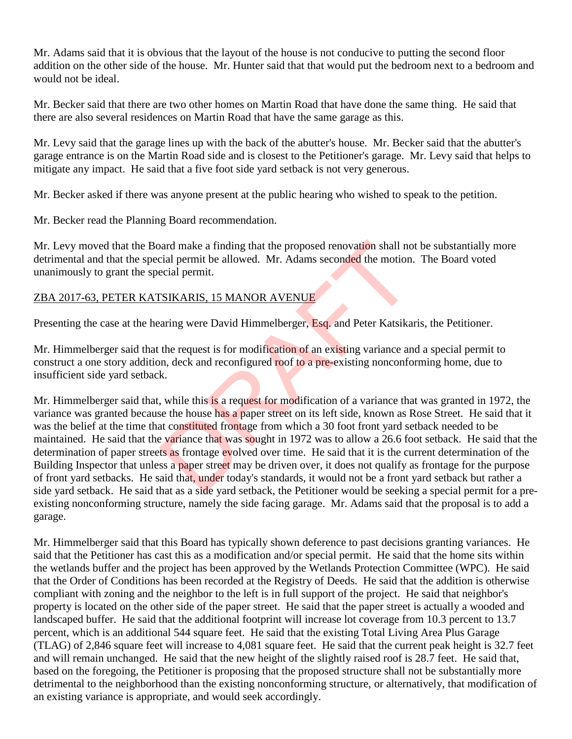Mr. Adams said that it is obvious that the layout of the house is not conducive to putting the second floor addition on the other side of the house. Mr. Hunter said that that would put the bedroom next to a bedroom and would not be ideal.

Mr. Becker said that there are two other homes on Martin Road that have done the same thing. He said that there are also several residences on Martin Road that have the same garage as this.

Mr. Levy said that the garage lines up with the back of the abutter's house. Mr. Becker said that the abutter's garage entrance is on the Martin Road side and is closest to the Petitioner's garage. Mr. Levy said that helps to mitigate any impact. He said that a five foot side yard setback is not very generous.

Mr. Becker asked if there was anyone present at the public hearing who wished to speak to the petition.

Mr. Becker read the Planning Board recommendation.

Mr. Levy moved that the Board make a finding that the proposed renovation shall not be substantially more detrimental and that the special permit be allowed. Mr. Adams seconded the motion. The Board voted unanimously to grant the special permit.

### ZBA 2017-63, PETER KATSIKARIS, 15 MANOR AVENUE

Presenting the case at the hearing were David Himmelberger, Esq. and Peter Katsikaris, the Petitioner.

Mr. Himmelberger said that the request is for modification of an existing variance and a special permit to construct a one story addition, deck and reconfigured roof to a pre-existing nonconforming home, due to insufficient side yard setback.

Mr. Himmelberger said that, while this is a request for modification of a variance that was granted in 1972, the variance was granted because the house has a paper street on its left side, known as Rose Street. He said that it was the belief at the time that constituted frontage from which a 30 foot front yard setback needed to be maintained. He said that the variance that was sought in 1972 was to allow a 26.6 foot setback. He said that the determination of paper streets as frontage evolved over time. He said that it is the current determination of the Building Inspector that unless a paper street may be driven over, it does not qualify as frontage for the purpose of front yard setbacks. He said that, under today's standards, it would not be a front yard setback but rather a side yard setback. He said that as a side yard setback, the Petitioner would be seeking a special permit for a preexisting nonconforming structure, namely the side facing garage. Mr. Adams said that the proposal is to add a garage. and make a finding that the proposed renovation shall no<br>cial permit be allowed. Mr. Adams seconded the motion.<br>ecial permit.<br>SIKARIS, 15 MANOR AVENUE<br>arring were David Himmelberger, Esq. and Peter Katsika<br>the request is f

Mr. Himmelberger said that this Board has typically shown deference to past decisions granting variances. He said that the Petitioner has cast this as a modification and/or special permit. He said that the home sits within the wetlands buffer and the project has been approved by the Wetlands Protection Committee (WPC). He said that the Order of Conditions has been recorded at the Registry of Deeds. He said that the addition is otherwise compliant with zoning and the neighbor to the left is in full support of the project. He said that neighbor's property is located on the other side of the paper street. He said that the paper street is actually a wooded and landscaped buffer. He said that the additional footprint will increase lot coverage from 10.3 percent to 13.7 percent, which is an additional 544 square feet. He said that the existing Total Living Area Plus Garage (TLAG) of 2,846 square feet will increase to 4,081 square feet. He said that the current peak height is 32.7 feet and will remain unchanged. He said that the new height of the slightly raised roof is 28.7 feet. He said that, based on the foregoing, the Petitioner is proposing that the proposed structure shall not be substantially more detrimental to the neighborhood than the existing nonconforming structure, or alternatively, that modification of an existing variance is appropriate, and would seek accordingly.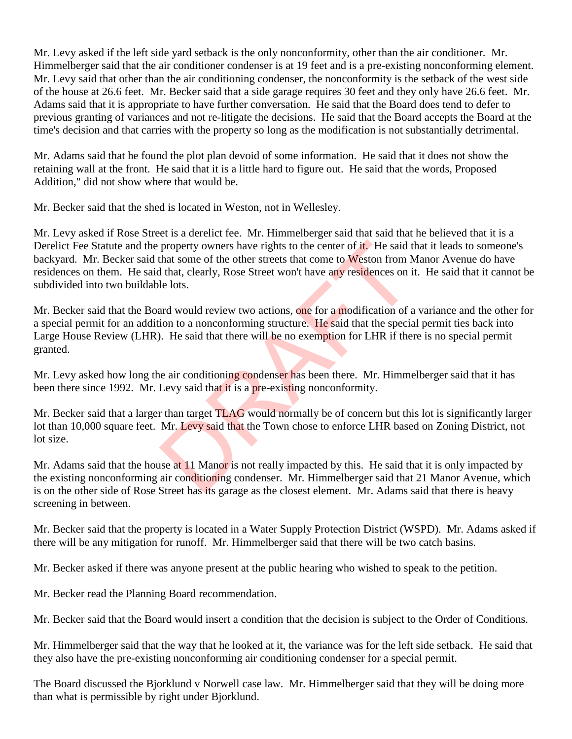Mr. Levy asked if the left side yard setback is the only nonconformity, other than the air conditioner. Mr. Himmelberger said that the air conditioner condenser is at 19 feet and is a pre-existing nonconforming element. Mr. Levy said that other than the air conditioning condenser, the nonconformity is the setback of the west side of the house at 26.6 feet. Mr. Becker said that a side garage requires 30 feet and they only have 26.6 feet. Mr. Adams said that it is appropriate to have further conversation. He said that the Board does tend to defer to previous granting of variances and not re-litigate the decisions. He said that the Board accepts the Board at the time's decision and that carries with the property so long as the modification is not substantially detrimental.

Mr. Adams said that he found the plot plan devoid of some information. He said that it does not show the retaining wall at the front. He said that it is a little hard to figure out. He said that the words, Proposed Addition," did not show where that would be.

Mr. Becker said that the shed is located in Weston, not in Wellesley.

Mr. Levy asked if Rose Street is a derelict fee. Mr. Himmelberger said that said that he believed that it is a Derelict Fee Statute and the property owners have rights to the center of it. He said that it leads to someone's backyard. Mr. Becker said that some of the other streets that come to Weston from Manor Avenue do have residences on them. He said that, clearly, Rose Street won't have any residences on it. He said that it cannot be subdivided into two buildable lots.

Mr. Becker said that the Board would review two actions, one for a modification of a variance and the other for a special permit for an addition to a nonconforming structure. He said that the special permit ties back into Large House Review (LHR). He said that there will be no exemption for LHR if there is no special permit granted. property owners have rights to the center of **it**. He said that some of the other streets that come to **Weston from N** that, clearly, Rose Street won't have any residences on ile lots.<br>and would review two actions, one for

Mr. Levy asked how long the air conditioning condenser has been there. Mr. Himmelberger said that it has been there since 1992. Mr. Levy said that it is a pre-existing nonconformity.

Mr. Becker said that a larger than target TLAG would normally be of concern but this lot is significantly larger lot than 10,000 square feet. Mr. Levy said that the Town chose to enforce LHR based on Zoning District, not lot size.

Mr. Adams said that the house at 11 Manor is not really impacted by this. He said that it is only impacted by the existing nonconforming air conditioning condenser. Mr. Himmelberger said that 21 Manor Avenue, which is on the other side of Rose Street has its garage as the closest element. Mr. Adams said that there is heavy screening in between.

Mr. Becker said that the property is located in a Water Supply Protection District (WSPD). Mr. Adams asked if there will be any mitigation for runoff. Mr. Himmelberger said that there will be two catch basins.

Mr. Becker asked if there was anyone present at the public hearing who wished to speak to the petition.

Mr. Becker read the Planning Board recommendation.

Mr. Becker said that the Board would insert a condition that the decision is subject to the Order of Conditions.

Mr. Himmelberger said that the way that he looked at it, the variance was for the left side setback. He said that they also have the pre-existing nonconforming air conditioning condenser for a special permit.

The Board discussed the Bjorklund v Norwell case law. Mr. Himmelberger said that they will be doing more than what is permissible by right under Bjorklund.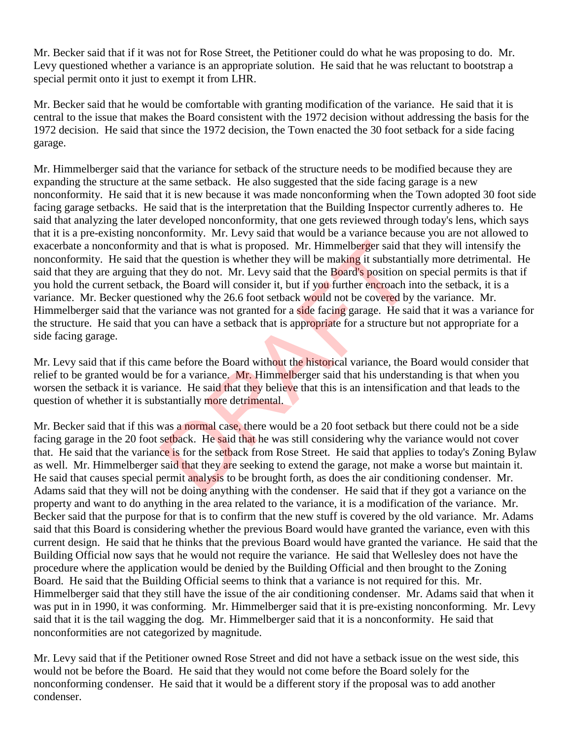Mr. Becker said that if it was not for Rose Street, the Petitioner could do what he was proposing to do. Mr. Levy questioned whether a variance is an appropriate solution. He said that he was reluctant to bootstrap a special permit onto it just to exempt it from LHR.

Mr. Becker said that he would be comfortable with granting modification of the variance. He said that it is central to the issue that makes the Board consistent with the 1972 decision without addressing the basis for the 1972 decision. He said that since the 1972 decision, the Town enacted the 30 foot setback for a side facing garage.

Mr. Himmelberger said that the variance for setback of the structure needs to be modified because they are expanding the structure at the same setback. He also suggested that the side facing garage is a new nonconformity. He said that it is new because it was made nonconforming when the Town adopted 30 foot side facing garage setbacks. He said that is the interpretation that the Building Inspector currently adheres to. He said that analyzing the later developed nonconformity, that one gets reviewed through today's lens, which says that it is a pre-existing nonconformity. Mr. Levy said that would be a variance because you are not allowed to exacerbate a nonconformity and that is what is proposed. Mr. Himmelberger said that they will intensify the nonconformity. He said that the question is whether they will be making it substantially more detrimental. He said that they are arguing that they do not. Mr. Levy said that the Board's position on special permits is that if you hold the current setback, the Board will consider it, but if you further encroach into the setback, it is a variance. Mr. Becker questioned why the 26.6 foot setback would not be covered by the variance. Mr. Himmelberger said that the variance was not granted for a side facing garage. He said that it was a variance for the structure. He said that you can have a setback that is appropriate for a structure but not appropriate for a side facing garage. and that is what is proposed. Mr. Himmelberger said that the question is whether they will be making it substantiat they do not. Mr. Levy said that the Board's position on t, the Board will consider it, but if you further

Mr. Levy said that if this came before the Board without the historical variance, the Board would consider that relief to be granted would be for a variance. Mr. Himmelberger said that his understanding is that when you worsen the setback it is variance. He said that they believe that this is an intensification and that leads to the question of whether it is substantially more detrimental.

Mr. Becker said that if this was a normal case, there would be a 20 foot setback but there could not be a side facing garage in the 20 foot setback. He said that he was still considering why the variance would not cover that. He said that the variance is for the setback from Rose Street. He said that applies to today's Zoning Bylaw as well. Mr. Himmelberger said that they are seeking to extend the garage, not make a worse but maintain it. He said that causes special permit analysis to be brought forth, as does the air conditioning condenser. Mr. Adams said that they will not be doing anything with the condenser. He said that if they got a variance on the property and want to do anything in the area related to the variance, it is a modification of the variance. Mr. Becker said that the purpose for that is to confirm that the new stuff is covered by the old variance. Mr. Adams said that this Board is considering whether the previous Board would have granted the variance, even with this current design. He said that he thinks that the previous Board would have granted the variance. He said that the Building Official now says that he would not require the variance. He said that Wellesley does not have the procedure where the application would be denied by the Building Official and then brought to the Zoning Board. He said that the Building Official seems to think that a variance is not required for this. Mr. Himmelberger said that they still have the issue of the air conditioning condenser. Mr. Adams said that when it was put in in 1990, it was conforming. Mr. Himmelberger said that it is pre-existing nonconforming. Mr. Levy said that it is the tail wagging the dog. Mr. Himmelberger said that it is a nonconformity. He said that nonconformities are not categorized by magnitude.

Mr. Levy said that if the Petitioner owned Rose Street and did not have a setback issue on the west side, this would not be before the Board. He said that they would not come before the Board solely for the nonconforming condenser. He said that it would be a different story if the proposal was to add another condenser.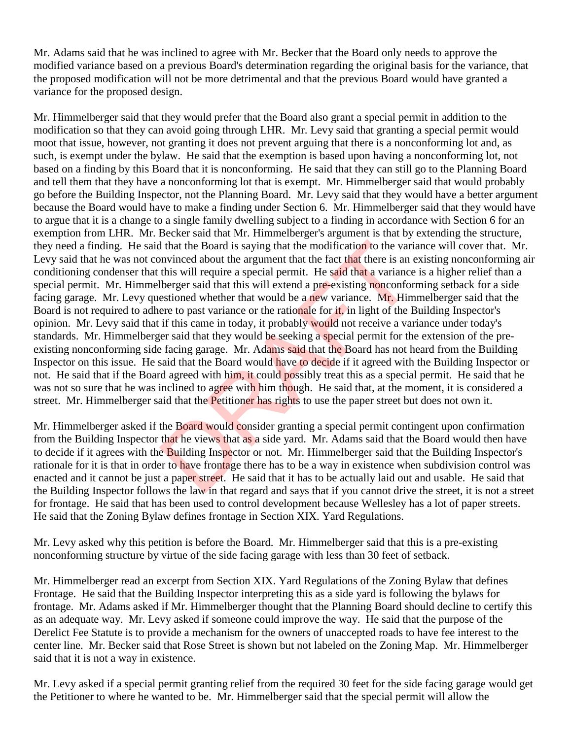Mr. Adams said that he was inclined to agree with Mr. Becker that the Board only needs to approve the modified variance based on a previous Board's determination regarding the original basis for the variance, that the proposed modification will not be more detrimental and that the previous Board would have granted a variance for the proposed design.

Mr. Himmelberger said that they would prefer that the Board also grant a special permit in addition to the modification so that they can avoid going through LHR. Mr. Levy said that granting a special permit would moot that issue, however, not granting it does not prevent arguing that there is a nonconforming lot and, as such, is exempt under the bylaw. He said that the exemption is based upon having a nonconforming lot, not based on a finding by this Board that it is nonconforming. He said that they can still go to the Planning Board and tell them that they have a nonconforming lot that is exempt. Mr. Himmelberger said that would probably go before the Building Inspector, not the Planning Board. Mr. Levy said that they would have a better argument because the Board would have to make a finding under Section 6. Mr. Himmelberger said that they would have to argue that it is a change to a single family dwelling subject to a finding in accordance with Section 6 for an exemption from LHR. Mr. Becker said that Mr. Himmelberger's argument is that by extending the structure, they need a finding. He said that the Board is saying that the modification to the variance will cover that. Mr. Levy said that he was not convinced about the argument that the fact that there is an existing nonconforming air conditioning condenser that this will require a special permit. He said that a variance is a higher relief than a special permit. Mr. Himmelberger said that this will extend a pre-existing nonconforming setback for a side facing garage. Mr. Levy questioned whether that would be a new variance. Mr. Himmelberger said that the Board is not required to adhere to past variance or the rationale for it, in light of the Building Inspector's opinion. Mr. Levy said that if this came in today, it probably would not receive a variance under today's standards. Mr. Himmelberger said that they would be seeking a special permit for the extension of the preexisting nonconforming side facing garage. Mr. Adams said that the Board has not heard from the Building Inspector on this issue. He said that the Board would have to decide if it agreed with the Building Inspector or not. He said that if the Board agreed with him, it could possibly treat this as a special permit. He said that he was not so sure that he was inclined to agree with him though. He said that, at the moment, it is considered a street. Mr. Himmelberger said that the **Petitioner has rights** to use the paper street but does not own it. If that the Board is saying that the modification to the variation<br>invinced about the argument that the fact that there is an<br>this will require a special permit. He said that a variance<br>lberger said that this will extend a

Mr. Himmelberger asked if the Board would consider granting a special permit contingent upon confirmation from the Building Inspector that he views that as a side yard. Mr. Adams said that the Board would then have to decide if it agrees with the Building Inspector or not. Mr. Himmelberger said that the Building Inspector's rationale for it is that in order to have frontage there has to be a way in existence when subdivision control was enacted and it cannot be just a paper street. He said that it has to be actually laid out and usable. He said that the Building Inspector follows the law in that regard and says that if you cannot drive the street, it is not a street for frontage. He said that has been used to control development because Wellesley has a lot of paper streets. He said that the Zoning Bylaw defines frontage in Section XIX. Yard Regulations.

Mr. Levy asked why this petition is before the Board. Mr. Himmelberger said that this is a pre-existing nonconforming structure by virtue of the side facing garage with less than 30 feet of setback.

Mr. Himmelberger read an excerpt from Section XIX. Yard Regulations of the Zoning Bylaw that defines Frontage. He said that the Building Inspector interpreting this as a side yard is following the bylaws for frontage. Mr. Adams asked if Mr. Himmelberger thought that the Planning Board should decline to certify this as an adequate way. Mr. Levy asked if someone could improve the way. He said that the purpose of the Derelict Fee Statute is to provide a mechanism for the owners of unaccepted roads to have fee interest to the center line. Mr. Becker said that Rose Street is shown but not labeled on the Zoning Map. Mr. Himmelberger said that it is not a way in existence.

Mr. Levy asked if a special permit granting relief from the required 30 feet for the side facing garage would get the Petitioner to where he wanted to be. Mr. Himmelberger said that the special permit will allow the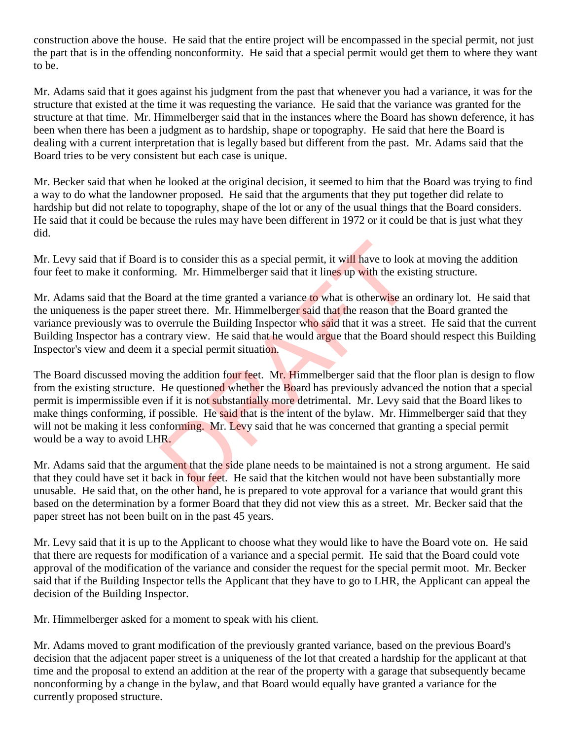construction above the house. He said that the entire project will be encompassed in the special permit, not just the part that is in the offending nonconformity. He said that a special permit would get them to where they want to be.

Mr. Adams said that it goes against his judgment from the past that whenever you had a variance, it was for the structure that existed at the time it was requesting the variance. He said that the variance was granted for the structure at that time. Mr. Himmelberger said that in the instances where the Board has shown deference, it has been when there has been a judgment as to hardship, shape or topography. He said that here the Board is dealing with a current interpretation that is legally based but different from the past. Mr. Adams said that the Board tries to be very consistent but each case is unique.

Mr. Becker said that when he looked at the original decision, it seemed to him that the Board was trying to find a way to do what the landowner proposed. He said that the arguments that they put together did relate to hardship but did not relate to topography, shape of the lot or any of the usual things that the Board considers. He said that it could be because the rules may have been different in 1972 or it could be that is just what they did.

Mr. Levy said that if Board is to consider this as a special permit, it will have to look at moving the addition four feet to make it conforming. Mr. Himmelberger said that it lines up with the existing structure.

Mr. Adams said that the Board at the time granted a variance to what is otherwise an ordinary lot. He said that the uniqueness is the paper street there. Mr. Himmelberger said that the reason that the Board granted the variance previously was to overrule the Building Inspector who said that it was a street. He said that the current Building Inspector has a contrary view. He said that he would argue that the Board should respect this Building Inspector's view and deem it a special permit situation.

The Board discussed moving the addition four feet. Mr. Himmelberger said that the floor plan is design to flow from the existing structure. He questioned whether the Board has previously advanced the notion that a special permit is impermissible even if it is not substantially more detrimental. Mr. Levy said that the Board likes to make things conforming, if possible. He said that is the intent of the bylaw. Mr. Himmelberger said that they will not be making it less conforming. Mr. Levy said that he was concerned that granting a special permit would be a way to avoid LHR. is to consider this as a special permit, it will have to look<br>ing. Mr. Himmelberger said that it lines up with the exis<br>ard at the time granted a variance to what is otherwise an<br>street there. Mr. Himmelberger said that th

Mr. Adams said that the argument that the side plane needs to be maintained is not a strong argument. He said that they could have set it back in four feet. He said that the kitchen would not have been substantially more unusable. He said that, on the other hand, he is prepared to vote approval for a variance that would grant this based on the determination by a former Board that they did not view this as a street. Mr. Becker said that the paper street has not been built on in the past 45 years.

Mr. Levy said that it is up to the Applicant to choose what they would like to have the Board vote on. He said that there are requests for modification of a variance and a special permit. He said that the Board could vote approval of the modification of the variance and consider the request for the special permit moot. Mr. Becker said that if the Building Inspector tells the Applicant that they have to go to LHR, the Applicant can appeal the decision of the Building Inspector.

Mr. Himmelberger asked for a moment to speak with his client.

Mr. Adams moved to grant modification of the previously granted variance, based on the previous Board's decision that the adjacent paper street is a uniqueness of the lot that created a hardship for the applicant at that time and the proposal to extend an addition at the rear of the property with a garage that subsequently became nonconforming by a change in the bylaw, and that Board would equally have granted a variance for the currently proposed structure.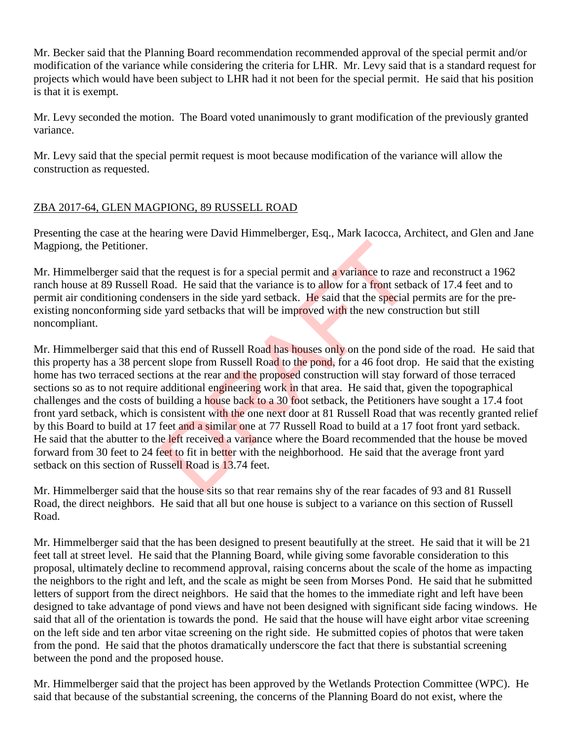Mr. Becker said that the Planning Board recommendation recommended approval of the special permit and/or modification of the variance while considering the criteria for LHR. Mr. Levy said that is a standard request for projects which would have been subject to LHR had it not been for the special permit. He said that his position is that it is exempt.

Mr. Levy seconded the motion. The Board voted unanimously to grant modification of the previously granted variance.

Mr. Levy said that the special permit request is moot because modification of the variance will allow the construction as requested.

## ZBA 2017-64, GLEN MAGPIONG, 89 RUSSELL ROAD

Presenting the case at the hearing were David Himmelberger, Esq., Mark Iacocca, Architect, and Glen and Jane Magpiong, the Petitioner.

Mr. Himmelberger said that the request is for a special permit and a variance to raze and reconstruct a 1962 ranch house at 89 Russell Road. He said that the variance is to allow for a front setback of 17.4 feet and to permit air conditioning condensers in the side yard setback. He said that the special permits are for the preexisting nonconforming side yard setbacks that will be improved with the new construction but still noncompliant.

Mr. Himmelberger said that this end of Russell Road has houses only on the pond side of the road. He said that this property has a 38 percent slope from Russell Road to the pond, for a 46 foot drop. He said that the existing home has two terraced sections at the rear and the proposed construction will stay forward of those terraced sections so as to not require additional engineering work in that area. He said that, given the topographical challenges and the costs of building a house back to a 30 foot setback, the Petitioners have sought a 17.4 foot front yard setback, which is consistent with the one next door at 81 Russell Road that was recently granted relief by this Board to build at 17 feet and a similar one at 77 Russell Road to build at a 17 foot front yard setback. He said that the abutter to the left received a variance where the Board recommended that the house be moved forward from 30 feet to 24 feet to fit in better with the neighborhood. He said that the average front yard setback on this section of Russell Road is 13.74 feet. the request is for a special permit and a variance to raze<br>oad. He said that the variance is to allow for a front setbel<br>elensers in the side yard setback. He said that the special is<br>example and set and the special part o

Mr. Himmelberger said that the house sits so that rear remains shy of the rear facades of 93 and 81 Russell Road, the direct neighbors. He said that all but one house is subject to a variance on this section of Russell Road.

Mr. Himmelberger said that the has been designed to present beautifully at the street. He said that it will be 21 feet tall at street level. He said that the Planning Board, while giving some favorable consideration to this proposal, ultimately decline to recommend approval, raising concerns about the scale of the home as impacting the neighbors to the right and left, and the scale as might be seen from Morses Pond. He said that he submitted letters of support from the direct neighbors. He said that the homes to the immediate right and left have been designed to take advantage of pond views and have not been designed with significant side facing windows. He said that all of the orientation is towards the pond. He said that the house will have eight arbor vitae screening on the left side and ten arbor vitae screening on the right side. He submitted copies of photos that were taken from the pond. He said that the photos dramatically underscore the fact that there is substantial screening between the pond and the proposed house.

Mr. Himmelberger said that the project has been approved by the Wetlands Protection Committee (WPC). He said that because of the substantial screening, the concerns of the Planning Board do not exist, where the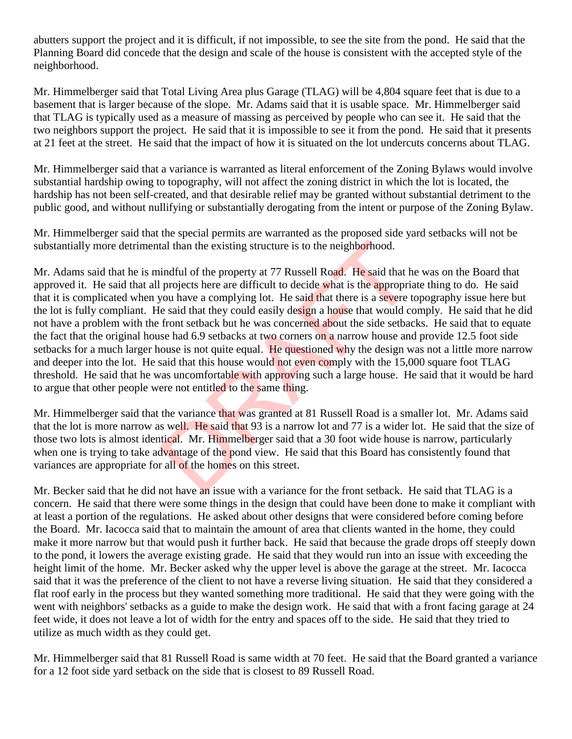abutters support the project and it is difficult, if not impossible, to see the site from the pond. He said that the Planning Board did concede that the design and scale of the house is consistent with the accepted style of the neighborhood.

Mr. Himmelberger said that Total Living Area plus Garage (TLAG) will be 4,804 square feet that is due to a basement that is larger because of the slope. Mr. Adams said that it is usable space. Mr. Himmelberger said that TLAG is typically used as a measure of massing as perceived by people who can see it. He said that the two neighbors support the project. He said that it is impossible to see it from the pond. He said that it presents at 21 feet at the street. He said that the impact of how it is situated on the lot undercuts concerns about TLAG.

Mr. Himmelberger said that a variance is warranted as literal enforcement of the Zoning Bylaws would involve substantial hardship owing to topography, will not affect the zoning district in which the lot is located, the hardship has not been self-created, and that desirable relief may be granted without substantial detriment to the public good, and without nullifying or substantially derogating from the intent or purpose of the Zoning Bylaw.

Mr. Himmelberger said that the special permits are warranted as the proposed side yard setbacks will not be substantially more detrimental than the existing structure is to the neighborhood.

Mr. Adams said that he is mindful of the property at 77 Russell Road. He said that he was on the Board that approved it. He said that all projects here are difficult to decide what is the appropriate thing to do. He said that it is complicated when you have a complying lot. He said that there is a severe topography issue here but the lot is fully compliant. He said that they could easily design a house that would comply. He said that he did not have a problem with the front setback but he was concerned about the side setbacks. He said that to equate the fact that the original house had 6.9 setbacks at two corners on a narrow house and provide 12.5 foot side setbacks for a much larger house is not quite equal. He questioned why the design was not a little more narrow and deeper into the lot. He said that this house would not even comply with the 15,000 square foot TLAG threshold. He said that he was uncomfortable with approving such a large house. He said that it would be hard to argue that other people were not entitled to the same thing. tal than the existing structure is to the neighborhood.<br>
indful of the property at 77 Russell Road. He said that h<br>
projects here are difficult to decide what is the appropriation<br>
you have a complying lot. He said that th

Mr. Himmelberger said that the variance that was granted at 81 Russell Road is a smaller lot. Mr. Adams said that the lot is more narrow as well. He said that 93 is a narrow lot and 77 is a wider lot. He said that the size of those two lots is almost identical. Mr. Himmelberger said that a 30 foot wide house is narrow, particularly when one is trying to take advantage of the pond view. He said that this Board has consistently found that variances are appropriate for all of the homes on this street.

Mr. Becker said that he did not have an issue with a variance for the front setback. He said that TLAG is a concern. He said that there were some things in the design that could have been done to make it compliant with at least a portion of the regulations. He asked about other designs that were considered before coming before the Board. Mr. Iacocca said that to maintain the amount of area that clients wanted in the home, they could make it more narrow but that would push it further back. He said that because the grade drops off steeply down to the pond, it lowers the average existing grade. He said that they would run into an issue with exceeding the height limit of the home. Mr. Becker asked why the upper level is above the garage at the street. Mr. Iacocca said that it was the preference of the client to not have a reverse living situation. He said that they considered a flat roof early in the process but they wanted something more traditional. He said that they were going with the went with neighbors' setbacks as a guide to make the design work. He said that with a front facing garage at 24 feet wide, it does not leave a lot of width for the entry and spaces off to the side. He said that they tried to utilize as much width as they could get.

Mr. Himmelberger said that 81 Russell Road is same width at 70 feet. He said that the Board granted a variance for a 12 foot side yard setback on the side that is closest to 89 Russell Road.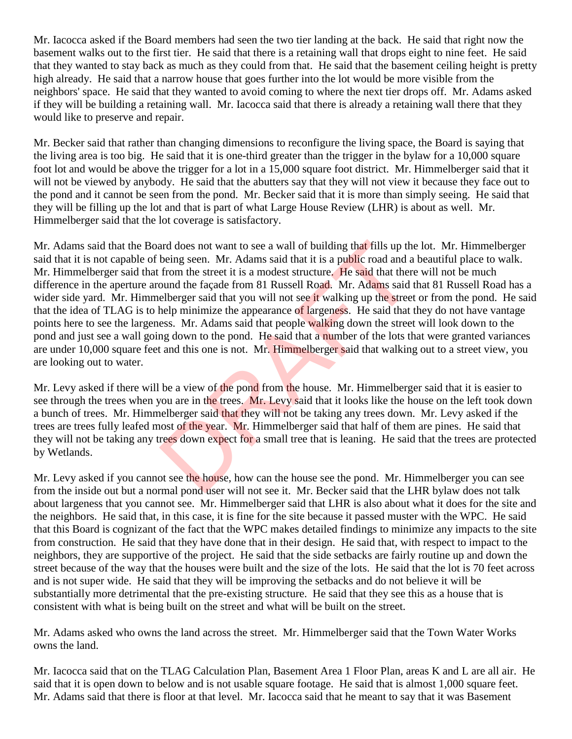Mr. Iacocca asked if the Board members had seen the two tier landing at the back. He said that right now the basement walks out to the first tier. He said that there is a retaining wall that drops eight to nine feet. He said that they wanted to stay back as much as they could from that. He said that the basement ceiling height is pretty high already. He said that a narrow house that goes further into the lot would be more visible from the neighbors' space. He said that they wanted to avoid coming to where the next tier drops off. Mr. Adams asked if they will be building a retaining wall. Mr. Iacocca said that there is already a retaining wall there that they would like to preserve and repair.

Mr. Becker said that rather than changing dimensions to reconfigure the living space, the Board is saying that the living area is too big. He said that it is one-third greater than the trigger in the bylaw for a 10,000 square foot lot and would be above the trigger for a lot in a 15,000 square foot district. Mr. Himmelberger said that it will not be viewed by anybody. He said that the abutters say that they will not view it because they face out to the pond and it cannot be seen from the pond. Mr. Becker said that it is more than simply seeing. He said that they will be filling up the lot and that is part of what Large House Review (LHR) is about as well. Mr. Himmelberger said that the lot coverage is satisfactory.

Mr. Adams said that the Board does not want to see a wall of building that fills up the lot. Mr. Himmelberger said that it is not capable of being seen. Mr. Adams said that it is a public road and a beautiful place to walk. Mr. Himmelberger said that from the street it is a modest structure. He said that there will not be much difference in the aperture around the façade from 81 Russell Road. Mr. Adams said that 81 Russell Road has a wider side yard. Mr. Himmelberger said that you will not see it walking up the street or from the pond. He said that the idea of TLAG is to help minimize the appearance of largeness. He said that they do not have vantage points here to see the largeness. Mr. Adams said that people walking down the street will look down to the pond and just see a wall going down to the pond. He said that a number of the lots that were granted variances are under 10,000 square feet and this one is not. Mr. Himmelberger said that walking out to a street view, you are looking out to water. and does not want to see a wall of building that fills up th<br>being seen. Mr. Adams said that it is a public road and a<br>from the street it is a modest structure. He said that ther<br>ound the façade from 81 Russell Road. Mr. A

Mr. Levy asked if there will be a view of the pond from the house. Mr. Himmelberger said that it is easier to see through the trees when you are in the trees. Mr. Levy said that it looks like the house on the left took down a bunch of trees. Mr. Himmelberger said that they will not be taking any trees down. Mr. Levy asked if the trees are trees fully leafed most of the year. Mr. Himmelberger said that half of them are pines. He said that they will not be taking any trees down expect for a small tree that is leaning. He said that the trees are protected by Wetlands.

Mr. Levy asked if you cannot see the house, how can the house see the pond. Mr. Himmelberger you can see from the inside out but a normal pond user will not see it. Mr. Becker said that the LHR bylaw does not talk about largeness that you cannot see. Mr. Himmelberger said that LHR is also about what it does for the site and the neighbors. He said that, in this case, it is fine for the site because it passed muster with the WPC. He said that this Board is cognizant of the fact that the WPC makes detailed findings to minimize any impacts to the site from construction. He said that they have done that in their design. He said that, with respect to impact to the neighbors, they are supportive of the project. He said that the side setbacks are fairly routine up and down the street because of the way that the houses were built and the size of the lots. He said that the lot is 70 feet across and is not super wide. He said that they will be improving the setbacks and do not believe it will be substantially more detrimental that the pre-existing structure. He said that they see this as a house that is consistent with what is being built on the street and what will be built on the street.

Mr. Adams asked who owns the land across the street. Mr. Himmelberger said that the Town Water Works owns the land.

Mr. Iacocca said that on the TLAG Calculation Plan, Basement Area 1 Floor Plan, areas K and L are all air. He said that it is open down to below and is not usable square footage. He said that is almost 1,000 square feet. Mr. Adams said that there is floor at that level. Mr. Iacocca said that he meant to say that it was Basement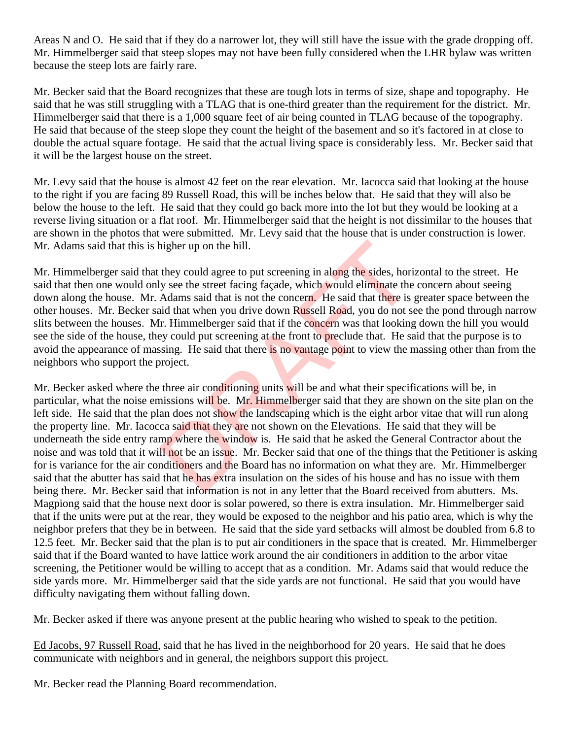Areas N and O. He said that if they do a narrower lot, they will still have the issue with the grade dropping off. Mr. Himmelberger said that steep slopes may not have been fully considered when the LHR bylaw was written because the steep lots are fairly rare.

Mr. Becker said that the Board recognizes that these are tough lots in terms of size, shape and topography. He said that he was still struggling with a TLAG that is one-third greater than the requirement for the district. Mr. Himmelberger said that there is a 1,000 square feet of air being counted in TLAG because of the topography. He said that because of the steep slope they count the height of the basement and so it's factored in at close to double the actual square footage. He said that the actual living space is considerably less. Mr. Becker said that it will be the largest house on the street.

Mr. Levy said that the house is almost 42 feet on the rear elevation. Mr. Iacocca said that looking at the house to the right if you are facing 89 Russell Road, this will be inches below that. He said that they will also be below the house to the left. He said that they could go back more into the lot but they would be looking at a reverse living situation or a flat roof. Mr. Himmelberger said that the height is not dissimilar to the houses that are shown in the photos that were submitted. Mr. Levy said that the house that is under construction is lower. Mr. Adams said that this is higher up on the hill.

Mr. Himmelberger said that they could agree to put screening in along the sides, horizontal to the street. He said that then one would only see the street facing façade, which would eliminate the concern about seeing down along the house. Mr. Adams said that is not the concern. He said that there is greater space between the other houses. Mr. Becker said that when you drive down Russell Road, you do not see the pond through narrow slits between the houses. Mr. Himmelberger said that if the concern was that looking down the hill you would see the side of the house, they could put screening at the front to preclude that. He said that the purpose is to avoid the appearance of massing. He said that there is no vantage point to view the massing other than from the neighbors who support the project.

Mr. Becker asked where the three air conditioning units will be and what their specifications will be, in particular, what the noise emissions will be. Mr. Himmelberger said that they are shown on the site plan on the left side. He said that the plan does not show the landscaping which is the eight arbor vitae that will run along the property line. Mr. Iacocca said that they are not shown on the Elevations. He said that they will be underneath the side entry ramp where the window is. He said that he asked the General Contractor about the noise and was told that it will not be an issue. Mr. Becker said that one of the things that the Petitioner is asking for is variance for the air conditioners and the Board has no information on what they are. Mr. Himmelberger said that the abutter has said that he has extra insulation on the sides of his house and has no issue with them being there. Mr. Becker said that information is not in any letter that the Board received from abutters. Ms. Magpiong said that the house next door is solar powered, so there is extra insulation. Mr. Himmelberger said that if the units were put at the rear, they would be exposed to the neighbor and his patio area, which is why the neighbor prefers that they be in between. He said that the side yard setbacks will almost be doubled from 6.8 to 12.5 feet. Mr. Becker said that the plan is to put air conditioners in the space that is created. Mr. Himmelberger said that if the Board wanted to have lattice work around the air conditioners in addition to the arbor vitae screening, the Petitioner would be willing to accept that as a condition. Mr. Adams said that would reduce the side yards more. Mr. Himmelberger said that the side yards are not functional. He said that you would have difficulty navigating them without falling down. higher up on the hill.<br>they could agree to put screening in along the sides, horived see the street facing façade, which would eliminate the<br>Adams said that is not the concern. He said that there is<br>id that when you drive

Mr. Becker asked if there was anyone present at the public hearing who wished to speak to the petition.

Ed Jacobs, 97 Russell Road, said that he has lived in the neighborhood for 20 years. He said that he does communicate with neighbors and in general, the neighbors support this project.

Mr. Becker read the Planning Board recommendation.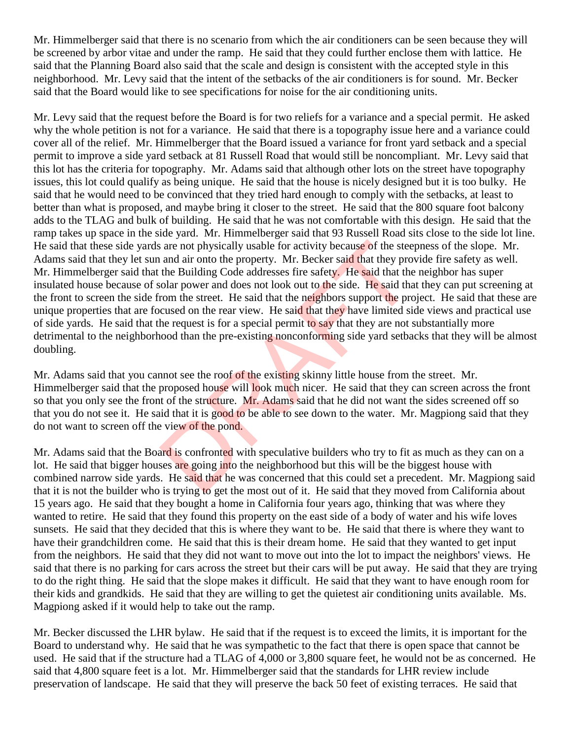Mr. Himmelberger said that there is no scenario from which the air conditioners can be seen because they will be screened by arbor vitae and under the ramp. He said that they could further enclose them with lattice. He said that the Planning Board also said that the scale and design is consistent with the accepted style in this neighborhood. Mr. Levy said that the intent of the setbacks of the air conditioners is for sound. Mr. Becker said that the Board would like to see specifications for noise for the air conditioning units.

Mr. Levy said that the request before the Board is for two reliefs for a variance and a special permit. He asked why the whole petition is not for a variance. He said that there is a topography issue here and a variance could cover all of the relief. Mr. Himmelberger that the Board issued a variance for front yard setback and a special permit to improve a side yard setback at 81 Russell Road that would still be noncompliant. Mr. Levy said that this lot has the criteria for topography. Mr. Adams said that although other lots on the street have topography issues, this lot could qualify as being unique. He said that the house is nicely designed but it is too bulky. He said that he would need to be convinced that they tried hard enough to comply with the setbacks, at least to better than what is proposed, and maybe bring it closer to the street. He said that the 800 square foot balcony adds to the TLAG and bulk of building. He said that he was not comfortable with this design. He said that the ramp takes up space in the side yard. Mr. Himmelberger said that 93 Russell Road sits close to the side lot line. He said that these side yards are not physically usable for activity because of the steepness of the slope. Mr. Adams said that they let sun and air onto the property. Mr. Becker said that they provide fire safety as well. Mr. Himmelberger said that the Building Code addresses fire safety. He said that the neighbor has super insulated house because of solar power and does not look out to the side. He said that they can put screening at the front to screen the side from the street. He said that the neighbors support the project. He said that these are unique properties that are focused on the rear view. He said that they have limited side views and practical use of side yards. He said that the request is for a special permit to say that they are not substantially more detrimental to the neighborhood than the pre-existing nonconforming side yard setbacks that they will be almost doubling. s are not physically usable for activity because of the stee<br>and air onto the property. Mr. Becker said that they pro<br>the Building Code addresses fire safety. He said that the<br>olar power and does not look out to the side.

Mr. Adams said that you cannot see the roof of the existing skinny little house from the street. Mr. Himmelberger said that the proposed house will look much nicer. He said that they can screen across the front so that you only see the front of the structure. Mr. Adams said that he did not want the sides screened off so that you do not see it. He said that it is good to be able to see down to the water. Mr. Magpiong said that they do not want to screen off the view of the pond.

Mr. Adams said that the Board is confronted with speculative builders who try to fit as much as they can on a lot. He said that bigger houses are going into the neighborhood but this will be the biggest house with combined narrow side yards. He said that he was concerned that this could set a precedent. Mr. Magpiong said that it is not the builder who is trying to get the most out of it. He said that they moved from California about 15 years ago. He said that they bought a home in California four years ago, thinking that was where they wanted to retire. He said that they found this property on the east side of a body of water and his wife loves sunsets. He said that they decided that this is where they want to be. He said that there is where they want to have their grandchildren come. He said that this is their dream home. He said that they wanted to get input from the neighbors. He said that they did not want to move out into the lot to impact the neighbors' views. He said that there is no parking for cars across the street but their cars will be put away. He said that they are trying to do the right thing. He said that the slope makes it difficult. He said that they want to have enough room for their kids and grandkids. He said that they are willing to get the quietest air conditioning units available. Ms. Magpiong asked if it would help to take out the ramp.

Mr. Becker discussed the LHR bylaw. He said that if the request is to exceed the limits, it is important for the Board to understand why. He said that he was sympathetic to the fact that there is open space that cannot be used. He said that if the structure had a TLAG of 4,000 or 3,800 square feet, he would not be as concerned. He said that 4,800 square feet is a lot. Mr. Himmelberger said that the standards for LHR review include preservation of landscape. He said that they will preserve the back 50 feet of existing terraces. He said that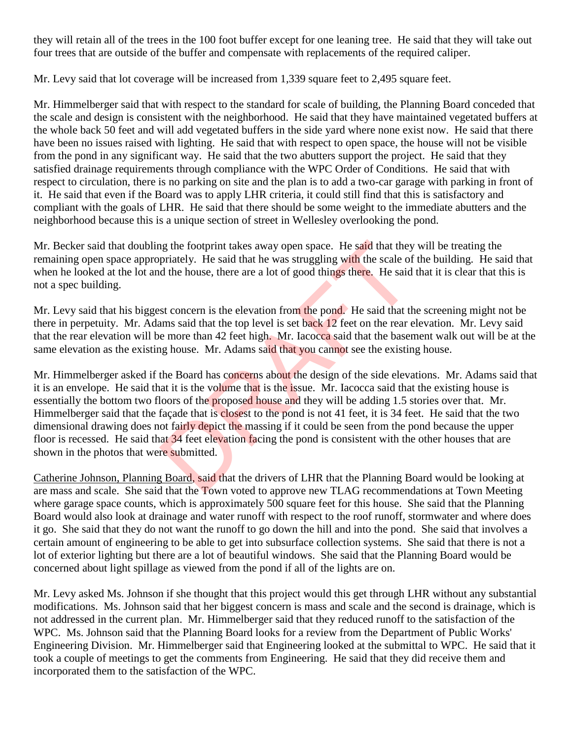they will retain all of the trees in the 100 foot buffer except for one leaning tree. He said that they will take out four trees that are outside of the buffer and compensate with replacements of the required caliper.

Mr. Levy said that lot coverage will be increased from 1,339 square feet to 2,495 square feet.

Mr. Himmelberger said that with respect to the standard for scale of building, the Planning Board conceded that the scale and design is consistent with the neighborhood. He said that they have maintained vegetated buffers at the whole back 50 feet and will add vegetated buffers in the side yard where none exist now. He said that there have been no issues raised with lighting. He said that with respect to open space, the house will not be visible from the pond in any significant way. He said that the two abutters support the project. He said that they satisfied drainage requirements through compliance with the WPC Order of Conditions. He said that with respect to circulation, there is no parking on site and the plan is to add a two-car garage with parking in front of it. He said that even if the Board was to apply LHR criteria, it could still find that this is satisfactory and compliant with the goals of LHR. He said that there should be some weight to the immediate abutters and the neighborhood because this is a unique section of street in Wellesley overlooking the pond.

Mr. Becker said that doubling the footprint takes away open space. He said that they will be treating the remaining open space appropriately. He said that he was struggling with the scale of the building. He said that when he looked at the lot and the house, there are a lot of good things there. He said that it is clear that this is not a spec building.

Mr. Levy said that his biggest concern is the elevation from the pond. He said that the screening might not be there in perpetuity. Mr. Adams said that the top level is set back 12 feet on the rear elevation. Mr. Levy said that the rear elevation will be more than 42 feet high. Mr. Iacocca said that the basement walk out will be at the same elevation as the existing house. Mr. Adams said that you cannot see the existing house.

Mr. Himmelberger asked if the Board has concerns about the design of the side elevations. Mr. Adams said that it is an envelope. He said that it is the volume that is the issue. Mr. Iacocca said that the existing house is essentially the bottom two floors of the proposed house and they will be adding 1.5 stories over that. Mr. Himmelberger said that the façade that is closest to the pond is not 41 feet, it is 34 feet. He said that the two dimensional drawing does not fairly depict the massing if it could be seen from the pond because the upper floor is recessed. He said that 34 feet elevation facing the pond is consistent with the other houses that are shown in the photos that were submitted. ing the footprint takes away open space. He said that they priately. He said that he was struggling with the scale of d the house, there are a lot of good things there. He said st concern is the elevation from the pond. He

Catherine Johnson, Planning Board, said that the drivers of LHR that the Planning Board would be looking at are mass and scale. She said that the Town voted to approve new TLAG recommendations at Town Meeting where garage space counts, which is approximately 500 square feet for this house. She said that the Planning Board would also look at drainage and water runoff with respect to the roof runoff, stormwater and where does it go. She said that they do not want the runoff to go down the hill and into the pond. She said that involves a certain amount of engineering to be able to get into subsurface collection systems. She said that there is not a lot of exterior lighting but there are a lot of beautiful windows. She said that the Planning Board would be concerned about light spillage as viewed from the pond if all of the lights are on.

Mr. Levy asked Ms. Johnson if she thought that this project would this get through LHR without any substantial modifications. Ms. Johnson said that her biggest concern is mass and scale and the second is drainage, which is not addressed in the current plan. Mr. Himmelberger said that they reduced runoff to the satisfaction of the WPC. Ms. Johnson said that the Planning Board looks for a review from the Department of Public Works' Engineering Division. Mr. Himmelberger said that Engineering looked at the submittal to WPC. He said that it took a couple of meetings to get the comments from Engineering. He said that they did receive them and incorporated them to the satisfaction of the WPC.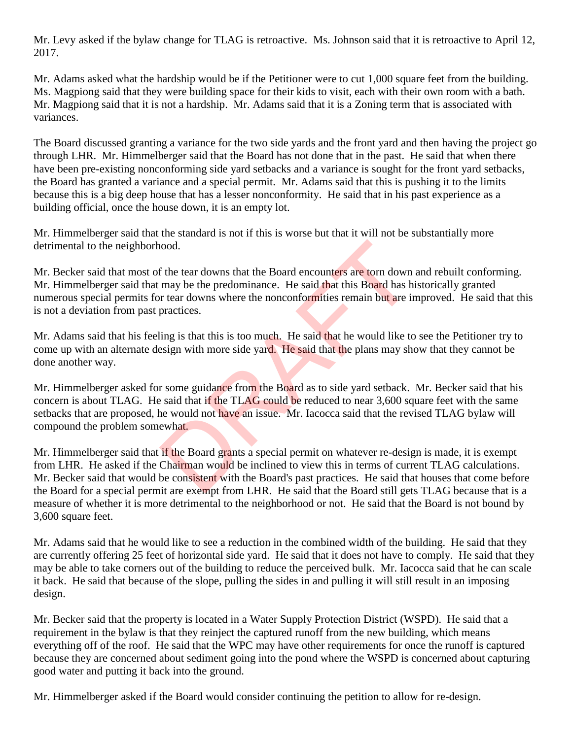Mr. Levy asked if the bylaw change for TLAG is retroactive. Ms. Johnson said that it is retroactive to April 12, 2017.

Mr. Adams asked what the hardship would be if the Petitioner were to cut 1,000 square feet from the building. Ms. Magpiong said that they were building space for their kids to visit, each with their own room with a bath. Mr. Magpiong said that it is not a hardship. Mr. Adams said that it is a Zoning term that is associated with variances.

The Board discussed granting a variance for the two side yards and the front yard and then having the project go through LHR. Mr. Himmelberger said that the Board has not done that in the past. He said that when there have been pre-existing nonconforming side yard setbacks and a variance is sought for the front yard setbacks, the Board has granted a variance and a special permit. Mr. Adams said that this is pushing it to the limits because this is a big deep house that has a lesser nonconformity. He said that in his past experience as a building official, once the house down, it is an empty lot.

Mr. Himmelberger said that the standard is not if this is worse but that it will not be substantially more detrimental to the neighborhood.

Mr. Becker said that most of the tear downs that the Board encounters are torn down and rebuilt conforming. Mr. Himmelberger said that may be the predominance. He said that this Board has historically granted numerous special permits for tear downs where the nonconformities remain but are improved. He said that this is not a deviation from past practices.

Mr. Adams said that his feeling is that this is too much. He said that he would like to see the Petitioner try to come up with an alternate design with more side yard. He said that the plans may show that they cannot be done another way.

Mr. Himmelberger asked for some guidance from the Board as to side yard setback. Mr. Becker said that his concern is about TLAG. He said that if the TLAG could be reduced to near 3,600 square feet with the same setbacks that are proposed, he would not have an issue. Mr. Iacocca said that the revised TLAG bylaw will compound the problem somewhat. nood.<br>
If the tear downs that the Board encounters are torn down<br>
may be the predominance. He said that this Board has h<br>
or tear downs where the nonconformities remain but are in<br>
practices.<br>
ling is that this is too much

Mr. Himmelberger said that if the Board grants a special permit on whatever re-design is made, it is exempt from LHR. He asked if the Chairman would be inclined to view this in terms of current TLAG calculations. Mr. Becker said that would be consistent with the Board's past practices. He said that houses that come before the Board for a special permit are exempt from LHR. He said that the Board still gets TLAG because that is a measure of whether it is more detrimental to the neighborhood or not. He said that the Board is not bound by 3,600 square feet.

Mr. Adams said that he would like to see a reduction in the combined width of the building. He said that they are currently offering 25 feet of horizontal side yard. He said that it does not have to comply. He said that they may be able to take corners out of the building to reduce the perceived bulk. Mr. Iacocca said that he can scale it back. He said that because of the slope, pulling the sides in and pulling it will still result in an imposing design.

Mr. Becker said that the property is located in a Water Supply Protection District (WSPD). He said that a requirement in the bylaw is that they reinject the captured runoff from the new building, which means everything off of the roof. He said that the WPC may have other requirements for once the runoff is captured because they are concerned about sediment going into the pond where the WSPD is concerned about capturing good water and putting it back into the ground.

Mr. Himmelberger asked if the Board would consider continuing the petition to allow for re-design.